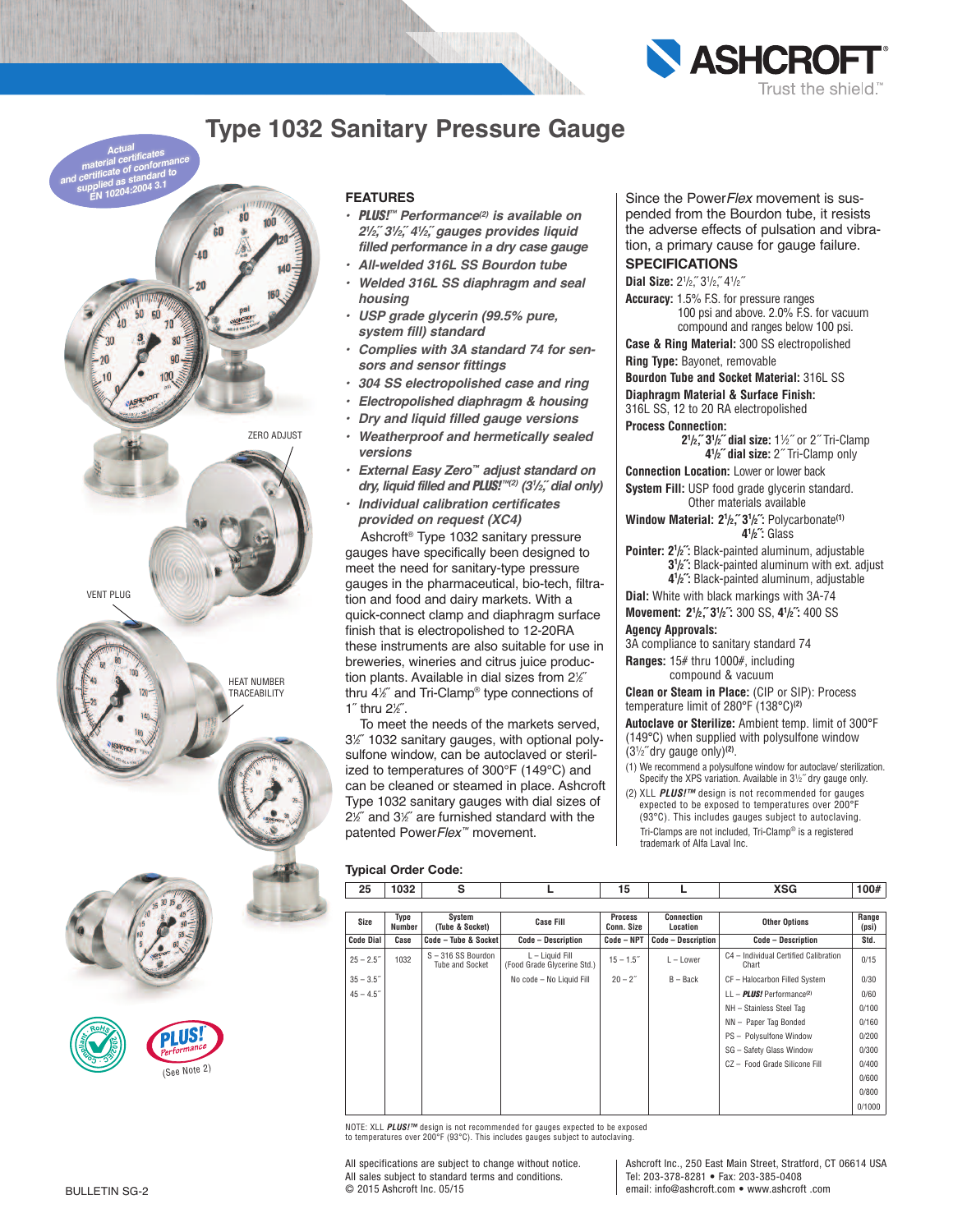

## **Type 1032 Sanitary Pressure Gauge**



#### **FEATURES**

- *PLUS!™ Performance(2) is available on 21 /2,˝ 31 /2,˝ 41 /2,˝ gauges provides liquid filled performance in a dry case gauge*
- *All-welded 316L SS Bourdon tube*
- *Welded 316L SS diaphragm and seal housing*
- *USP grade glycerin (99.5% pure, system fill) standard*
- *Complies with 3A standard 74 for sensors and sensor fittings*
- *304 SS electropolished case and ring*
- *Electropolished diaphragm & housing*
- *Dry and liquid filled gauge versions*
- *Weatherproof and hermetically sealed versions*
- *External Easy Zero™ adjust standard on dry, liquid filled and PLUS!™(2) (31 /2,˝ dial only)*
- *Individual calibration certificates provided on request (XC4)*

Ashcroft ® Type 1032 sanitary pressure gauges have specifically been designed to meet the need for sanitary-type pressure gauges in the pharmaceutical, bio-tech, filtration and food and dairy markets. With a quick-connect clamp and diaphragm surface finish that is electropolished to 12-20RA these instruments are also suitable for use in breweries, wineries and citrus juice production plants. Available in dial sizes from 21 ⁄2˝ thru 41 ⁄2˝ and Tri-Clamp® type connections of 1<sup> $\degree$ </sup> thru 2 $\%$ <sup> $\degree$ </sup>.

To meet the needs of the markets served, 31 ⁄2˝ 1032 sanitary gauges, with optional polysulfone window, can be autoclaved or sterilized to temperatures of 300°F (149°C) and can be cleaned or steamed in place. Ashcroft Type 1032 sanitary gauges with dial sizes of 21 ⁄2˝ and 31 ⁄2˝ are furnished standard with the patented Power*Flex™* movement.

Since the Power*Flex* movement is suspended from the Bourdon tube, it resists the adverse effects of pulsation and vibration, a primary cause for gauge failure.

### **SPECIFICATIONS**

Dial Size:  $2^{1}/2$ ,  $3^{1}/2$ ,  $4^{1}/2$ 

**Accuracy:** 1.5% F.S. for pressure ranges 100 psi and above. 2.0% F.S. for vacuum compound and ranges below 100 psi.

**Case & Ring Material:** 300 SS electropolished **Ring Type:** Bayonet, removable

**Bourdon Tube and Socket Material:** 316L SS

#### **Diaphragm Material & Surface Finish:**

316L SS, 12 to 20 RA electropolished

**Process Connection:**

 **21 /2,˝ 31 /2˝ dial size:** 11 ⁄2˝ or 2˝ Tri-Clamp  **41 /2˝ dial size:** 2˝ Tri-Clamp only

**Connection Location:** Lower or lower back

**System Fill:** USP food grade glycerin standard. Other materials available

**Window Material: 21 /2,˝ 31 /2˝:** Polycarbonate**(1)** *41* **/2˝:** Glass

**Pointer: 21 /2˝:** Black-painted aluminum, adjustable **3**<sup>1</sup>/<sub>2</sub><sup> $\cdot$ </sup>: Black-painted aluminum with ext. adjust  **41 /2˝:** Black-painted aluminum, adjustable

**Dial:** White with black markings with 3A-74

**Movement: 21 /2,˝ 31 /2˝:** 300 SS, **41 /2˝:** 400 SS

#### **Agency Approvals:**

3A compliance to sanitary standard 74

**Ranges:** 15# thru 1000#, including compound & vacuum

**Clean or Steam in Place:** (CIP or SIP): Process temperature limit of 280°F (138°C)**(2)**

**Autoclave or Sterilize:** Ambient temp. limit of 300°F (149°C) when supplied with polysulfone window (31 ⁄2˝ dry gauge only)**(2)** .

- (1) We recommend a polysulfone window for autoclave/ sterilization. Specify the XPS variation. Available in 3<sup>1</sup>/<sub>2</sub>" dry gauge only.
- (2) XLL *PLUS!™* design is not recommended for gauges expected to be exposed to temperatures over 200°F (93°C). This includes gauges subject to autoclaving. Tri-Clamps are not included, Tri-Clamp® is a registered trademark of Alfa Laval Inc.

### **Typical Order Code:**

| 25               | 1032           | s                                          |                                                  | 15                           |                               | XSG                                            | 100#           |
|------------------|----------------|--------------------------------------------|--------------------------------------------------|------------------------------|-------------------------------|------------------------------------------------|----------------|
|                  |                |                                            |                                                  |                              |                               |                                                |                |
| Size             | Type<br>Number | System<br>(Tube & Socket)                  | <b>Case Fill</b>                                 | <b>Process</b><br>Conn. Size | <b>Connection</b><br>Location | <b>Other Options</b>                           | Range<br>(psi) |
| <b>Code Dial</b> | Case           | Code - Tube & Socket                       | <b>Code - Description</b>                        | Code - NPT                   | <b>Code - Description</b>     | <b>Code - Description</b>                      | Std.           |
| $25 - 2.5$       | 1032           | S-316 SS Bourdon<br><b>Tube and Socket</b> | $L -$ Liquid Fill<br>(Food Grade Glycerine Std.) | $15 - 1.5$                   | $L -$ Lower                   | C4 - Individual Certified Calibration<br>Chart | 0/15           |
| $35 - 3.5$       |                |                                            | No code - No Liquid Fill                         | $20 - 2^{n}$                 | $B - Back$                    | CF - Halocarbon Filled System                  | 0/30           |
| $45 - 4.5$       |                |                                            |                                                  |                              |                               | $LL - PLUS!$ Performance <sup>(2)</sup>        | 0/60           |
|                  |                |                                            |                                                  |                              |                               | NH - Stainless Steel Tag                       | 0/100          |
|                  |                |                                            |                                                  |                              |                               | NN - Paper Tag Bonded                          | 0/160          |
|                  |                |                                            |                                                  |                              |                               | PS - Polysulfone Window                        | 0/200          |
|                  |                |                                            |                                                  |                              |                               | SG - Safety Glass Window                       | 0/300          |
|                  |                |                                            |                                                  |                              |                               | CZ - Food Grade Silicone Fill                  | 0/400          |
|                  |                |                                            |                                                  |                              |                               |                                                | 0/600          |
|                  |                |                                            |                                                  |                              |                               |                                                | 0/800          |
|                  |                |                                            |                                                  |                              |                               |                                                | 0/1000         |

NOTE: XLL *PLUS!™ design is not recommended for gauges expected to be exposed<br>to temperatures over 200°F (93°C). This includes gauges subiect to autoclaving.* 

All specifications are subject to change without notice. All sales subject to standard terms and conditions. © 2015 Ashcroft Inc. 05/15

Ashcroft Inc., 250 East Main Street, Stratford, CT 06614 USA Tel: 203-378-8281 • Fax: 203-385-0408 email: info@ashcroft.com • www.ashcroft .com